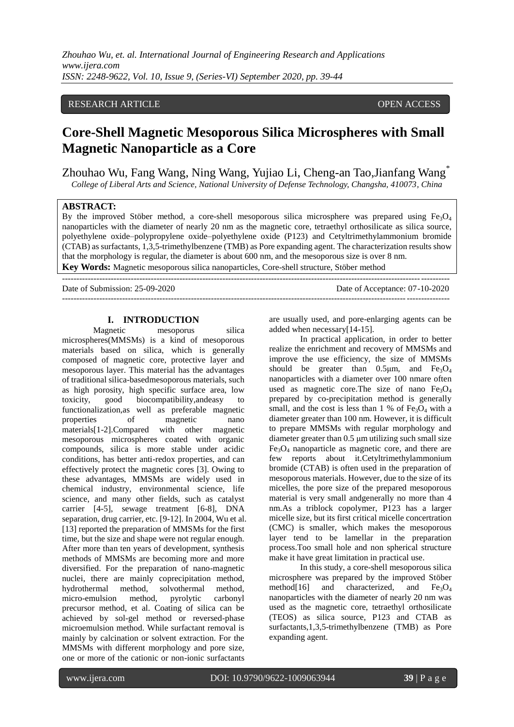# RESEARCH ARTICLE **CONSERVERS** OPEN ACCESS

# **Core-Shell Magnetic Mesoporous Silica Microspheres with Small Magnetic Nanoparticle as a Core**

Zhouhao Wu, Fang Wang, Ning Wang, Yujiao Li, Cheng-an Tao,Jianfang Wang\* *College of Liberal Arts and Science, National University of Defense Technology, Changsha, 410073, China*

#### **ABSTRACT:**

By the improved Stöber method, a core-shell mesoporous silica microsphere was prepared using  $Fe<sub>3</sub>O<sub>4</sub>$ nanoparticles with the diameter of nearly 20 nm as the magnetic core, tetraethyl orthosilicate as silica source, polyethylene oxide–polypropylene oxide–polyethylene oxide (P123) and Cetyltrimethylammonium bromide (CTAB) as surfactants, 1,3,5-trimethylbenzene (TMB) as Pore expanding agent. The characterization results show that the morphology is regular, the diameter is about 600 nm, and the mesoporous size is over 8 nm. **Key Words:** Magnetic mesoporous silica nanoparticles, Core-shell structure, Stöber method

---------------------------------------------------------------------------------------------------------------------------------------

Date of Submission: 25-09-2020 Date of Acceptance: 07-10-2020 ---------------------------------------------------------------------------------------------------------------------------------------

#### **I. INTRODUCTION**

Magnetic mesoporus silica microspheres(MMSMs) is a kind of mesoporous materials based on silica, which is generally composed of magnetic core, protective layer and mesoporous layer. This material has the advantages of traditional silica-basedmesoporous materials, such as high porosity, high specific surface area, low toxicity, good biocompatibility,andeasy to functionalization,as well as preferable magnetic properties of magnetic nano materials[1-2].Compared with other magnetic mesoporous microspheres coated with organic compounds, silica is more stable under acidic conditions, has better anti-redox properties, and can effectively protect the magnetic cores [3]. Owing to these advantages, MMSMs are widely used in chemical industry, environmental science, life science, and many other fields, such as catalyst carrier [4-5], sewage treatment [6-8], DNA separation, drug carrier, etc. [9-12]. In 2004, Wu et al. [13] reported the preparation of MMSMs for the first time, but the size and shape were not regular enough. After more than ten years of development, synthesis methods of MMSMs are becoming more and more diversified. For the preparation of nano-magnetic nuclei, there are mainly coprecipitation method, hydrothermal method, solvothermal method, micro-emulsion method, pyrolytic carbonyl precursor method, et al. Coating of silica can be achieved by sol-gel method or reversed-phase microemulsion method. While surfactant removal is mainly by calcination or solvent extraction. For the MMSMs with different morphology and pore size, one or more of the cationic or non-ionic surfactants

are usually used, and pore-enlarging agents can be added when necessary[14-15].

In practical application, in order to better realize the enrichment and recovery of MMSMs and improve the use efficiency, the size of MMSMs should be greater than  $0.5\mu m$ , and  $Fe<sub>3</sub>O<sub>4</sub>$ nanoparticles with a diameter over 100 nmare often used as magnetic core. The size of nano  $Fe<sub>3</sub>O<sub>4</sub>$ prepared by co-precipitation method is generally small, and the cost is less than 1 % of  $Fe<sub>3</sub>O<sub>4</sub>$  with a diameter greater than 100 nm. However, it is difficult to prepare MMSMs with regular morphology and diameter greater than 0.5 μm utilizing such small size  $Fe<sub>3</sub>O<sub>4</sub>$  nanoparticle as magnetic core, and there are few reports about it.Cetyltrimethylammonium bromide (CTAB) is often used in the preparation of mesoporous materials. However, due to the size of its micelles, the pore size of the prepared mesoporous material is very small andgenerally no more than 4 nm.As a triblock copolymer, P123 has a larger micelle size, but its first critical micelle concertration (CMC) is smaller, which makes the mesoporous layer tend to be lamellar in the preparation process.Too small hole and non spherical structure make it have great limitation in practical use.

In this study, a core-shell mesoporous silica microsphere was prepared by the improved Stöber<br>method[16] and characterized, and  $Fe<sub>3</sub>O<sub>4</sub>$ characterized, and  $Fe<sub>3</sub>O<sub>4</sub>$ nanoparticles with the diameter of nearly 20 nm was used as the magnetic core, tetraethyl orthosilicate (TEOS) as silica source, P123 and CTAB as surfactants,1,3,5-trimethylbenzene (TMB) as Pore expanding agent.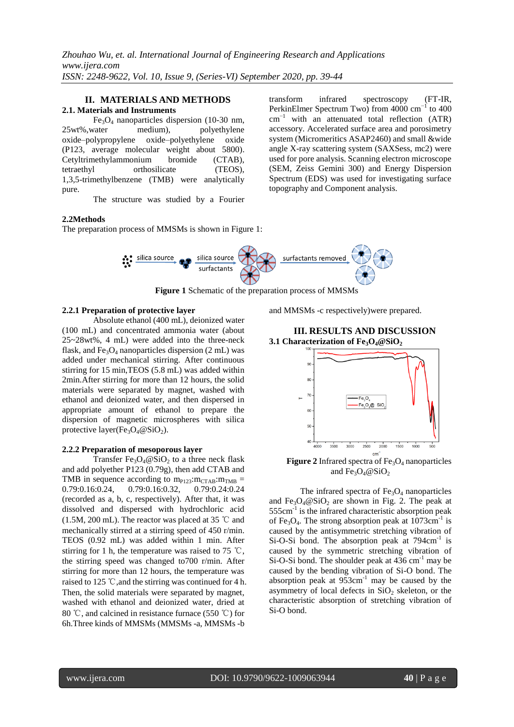#### **II. MATERIALS AND METHODS 2.1. Materials and Instruments**

 $Fe<sub>3</sub>O<sub>4</sub>$  nanoparticles dispersion (10-30 nm, 25wt%,water medium), polyethylene oxide–polypropylene oxide–polyethylene oxide (P123, average molecular weight about 5800). Cetyltrimethylammonium bromide (CTAB), tetraethyl orthosilicate (TEOS), 1,3,5-trimethylbenzene (TMB) were analytically pure.

The structure was studied by a Fourier

#### **2.2Methods**

The preparation process of MMSMs is shown in Figure 1:

transform infrared spectroscopy (FT-IR, PerkinElmer Spectrum Two) from 4000 cm<sup>-1</sup> to 400  $cm^{-1}$  with an attenuated total reflection (ATR) accessory. Accelerated surface area and porosimetry system (Micromeritics ASAP2460) and small &wide angle X-ray scattering system (SAXSess, mc2) were used for pore analysis. Scanning electron microscope (SEM, Zeiss Gemini 300) and Energy Dispersion Spectrum (EDS) was used for investigating surface topography and Component analysis.



**Figure 1** Schematic of the preparation process of MMSMs

# **2.2.1 Preparation of protective layer**

Absolute ethanol (400 mL), deionized water (100 mL) and concentrated ammonia water (about 25~28wt%, 4 mL) were added into the three-neck flask, and  $Fe<sub>3</sub>O<sub>4</sub>$  nanoparticles dispersion (2 mL) was added under mechanical stirring. After continuous stirring for 15 min,TEOS (5.8 mL) was added within 2min.After stirring for more than 12 hours, the solid materials were separated by magnet, washed with ethanol and deionized water, and then dispersed in appropriate amount of ethanol to prepare the dispersion of magnetic microspheres with silica protective layer(Fe<sub>3</sub>O<sub>4</sub>@SiO<sub>2</sub>).

#### **2.2.2 Preparation of mesoporous layer**

Transfer Fe<sub>3</sub>O<sub>4</sub>@SiO<sub>2</sub> to a three neck flask and add polyether P123 (0.79g), then add CTAB and TMB in sequence according to  $m_{P123}:m_{CTAB}:m_{TMB}$  = 0.79:0.16:0.24, 0.79:0.16:0.32, 0.79:0.24:0.24 (recorded as a, b, c, respectively). After that, it was dissolved and dispersed with hydrochloric acid (1.5M, 200 mL). The reactor was placed at 35 ℃ and mechanically stirred at a stirring speed of 450 r/min. TEOS (0.92 mL) was added within 1 min. After stirring for 1 h, the temperature was raised to 75 ℃, the stirring speed was changed to700 r/min. After stirring for more than 12 hours, the temperature was raised to 125 ℃,and the stirring was continued for 4 h. Then, the solid materials were separated by magnet, washed with ethanol and deionized water, dried at 80 ℃, and calcined in resistance furnace (550 ℃) for 6h.Three kinds of MMSMs (MMSMs -a, MMSMs -b

and MMSMs -c respectively)were prepared.

#### **III. RESULTS AND DISCUSSION 3.1 Characterization of Fe3O4@SiO<sup>2</sup>**



**Figure 2** Infrared spectra of  $Fe<sub>3</sub>O<sub>4</sub>$  nanoparticles and  $Fe<sub>3</sub>O<sub>4</sub>@SiO<sub>2</sub>$ 

The infrared spectra of  $Fe<sub>3</sub>O<sub>4</sub>$  nanoparticles and  $Fe<sub>3</sub>O<sub>4</sub>@SiO<sub>2</sub>$  are shown in Fig. 2. The peak at  $555 \text{cm}^{-1}$  is the infrared characteristic absorption peak of Fe<sub>3</sub>O<sub>4</sub>. The strong absorption peak at  $1073 \text{cm}^{-1}$  is caused by the antisymmetric stretching vibration of Si-O-Si bond. The absorption peak at 794cm<sup>-1</sup> is caused by the symmetric stretching vibration of Si-O-Si bond. The shoulder peak at  $436 \text{ cm}^{-1}$  may be caused by the bending vibration of Si-O bond. The absorption peak at  $953 \text{cm}^{-1}$  may be caused by the asymmetry of local defects in  $SiO<sub>2</sub>$  skeleton, or the characteristic absorption of stretching vibration of Si-O bond.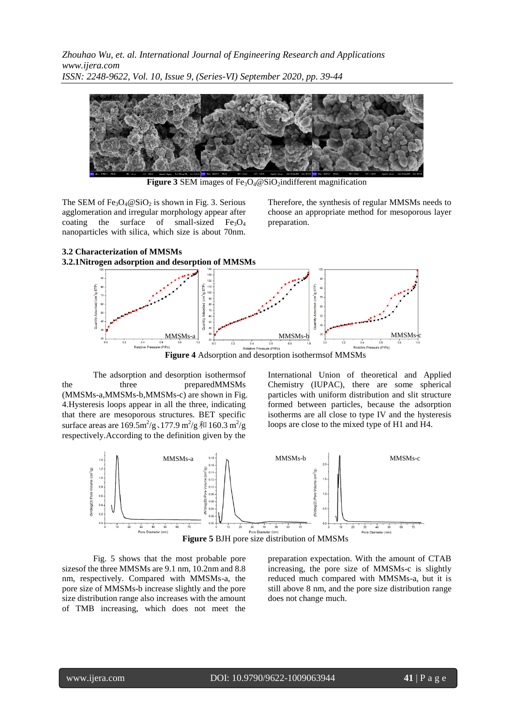*Zhouhao Wu, et. al. International Journal of Engineering Research and Applications www.ijera.com ISSN: 2248-9622, Vol. 10, Issue 9, (Series-VI) September 2020, pp. 39-44*



**Figure 3** SEM images of  $Fe<sub>3</sub>O<sub>4</sub>@SiO<sub>2</sub>$  indifferent magnification

The SEM of  $Fe<sub>3</sub>O<sub>4</sub> @ SiO<sub>2</sub>$  is shown in Fig. 3. Serious agglomeration and irregular morphology appear after coating the surface of small-sized  $Fe<sub>3</sub>O<sub>4</sub>$ nanoparticles with silica, which size is about 70nm.

Therefore, the synthesis of regular MMSMs needs to choose an appropriate method for mesoporous layer preparation.



The adsorption and desorption isothermsof the three preparedMMSMs (MMSMs-a,MMSMs-b,MMSMs-c) are shown in Fig. 4.Hysteresis loops appear in all the three, indicating that there are mesoporous structures. BET specific surface areas are  $169.5 \text{m}^2/\text{g} \cdot 177.9 \text{ m}^2/\text{g} \cdot \text{m}^2/\text{g}$ respectively.According to the definition given by the

International Union of theoretical and Applied Chemistry (IUPAC), there are some spherical particles with uniform distribution and slit structure formed between particles, because the adsorption isotherms are all close to type IV and the hysteresis loops are close to the mixed type of H1 and H4.



Fig. 5 shows that the most probable pore sizesof the three MMSMs are 9.1 nm, 10.2nm and 8.8 nm, respectively. Compared with MMSMs-a, the pore size of MMSMs-b increase slightly and the pore size distribution range also increases with the amount of TMB increasing, which does not meet the

preparation expectation. With the amount of CTAB increasing, the pore size of MMSMs-c is slightly reduced much compared with MMSMs-a, but it is still above 8 nm, and the pore size distribution range does not change much.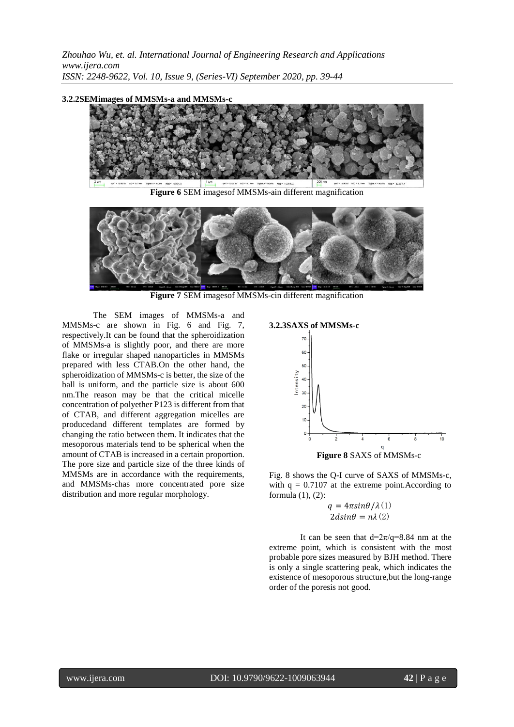*Zhouhao Wu, et. al. International Journal of Engineering Research and Applications www.ijera.com ISSN: 2248-9622, Vol. 10, Issue 9, (Series-VI) September 2020, pp. 39-44*

#### **3.2.2SEMimages of MMSMs-a and MMSMs-c**



**Figure 6** SEM imagesof MMSMs-ain different magnification



**Figure 7** SEM imagesof MMSMs-cin different magnification

The SEM images of MMSMs-a and MMSMs-c are shown in Fig. 6 and Fig. 7, respectively.It can be found that the spheroidization of MMSMs-a is slightly poor, and there are more flake or irregular shaped nanoparticles in MMSMs prepared with less CTAB.On the other hand, the spheroidization of MMSMs-c is better, the size of the ball is uniform, and the particle size is about 600 nm.The reason may be that the critical micelle concentration of polyether P123 is different from that of CTAB, and different aggregation micelles are producedand different templates are formed by changing the ratio between them. It indicates that the mesoporous materials tend to be spherical when the amount of CTAB is increased in a certain proportion. The pore size and particle size of the three kinds of MMSMs are in accordance with the requirements, and MMSMs-chas more concentrated pore size distribution and more regular morphology.

# **3.2.3SAXS of MMSMs-c**



Fig. 8 shows the Q-I curve of SAXS of MMSMs-c, with  $q = 0.7107$  at the extreme point. According to formula (1), (2):

> $q = 4\pi sin\theta/\lambda(1)$  $2d\sin\theta = n\lambda(2)$

It can be seen that  $d=2\pi/q=8.84$  nm at the extreme point, which is consistent with the most probable pore sizes measured by BJH method. There is only a single scattering peak, which indicates the existence of mesoporous structure,but the long-range order of the poresis not good.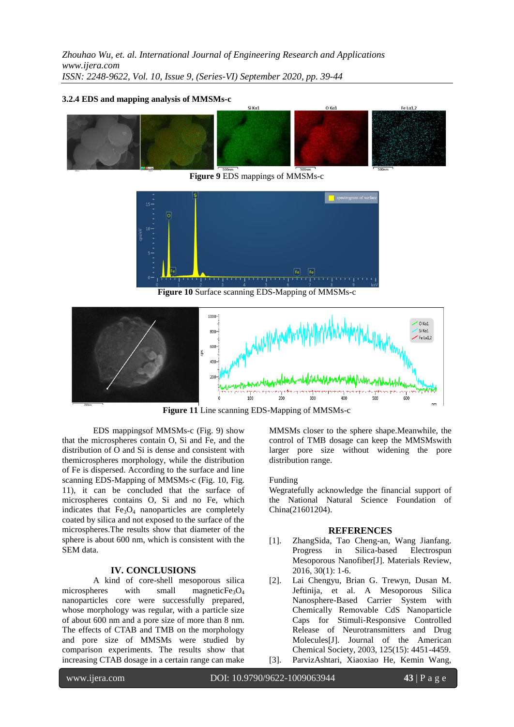# **3.2.4 EDS and mapping analysis of MMSMs-c**



**Figure 9** EDS mappings of MMSMs-c



**Figure 10** Surface scanning EDS-Mapping of MMSMs-c



**Figure 11** Line scanning EDS-Mapping of MMSMs-c

EDS mappingsof MMSMs-c (Fig. 9) show that the microspheres contain O, Si and Fe, and the distribution of O and Si is dense and consistent with themicrospheres morphology, while the distribution of Fe is dispersed. According to the surface and line scanning EDS-Mapping of MMSMs-c (Fig. 10, Fig. 11), it can be concluded that the surface of microspheres contains O, Si and no Fe, which indicates that  $Fe<sub>3</sub>O<sub>4</sub>$  nanoparticles are completely coated by silica and not exposed to the surface of the microspheres.The results show that diameter of the sphere is about 600 nm, which is consistent with the SEM data.

# **IV. CONCLUSIONS**

A kind of core-shell mesoporous silica microspheres with small magneticFe<sub>3</sub> $O_4$ nanoparticles core were successfully prepared, whose morphology was regular, with a particle size of about 600 nm and a pore size of more than 8 nm. The effects of CTAB and TMB on the morphology and pore size of MMSMs were studied by comparison experiments. The results show that increasing CTAB dosage in a certain range can make

MMSMs closer to the sphere shape.Meanwhile, the control of TMB dosage can keep the MMSMswith larger pore size without widening the pore distribution range.

# Funding

Wegratefully acknowledge the financial support of the National Natural Science Foundation of China(21601204).

# **REFERENCES**

- [1]. ZhangSida, Tao Cheng-an, Wang Jianfang. Progress in Silica-based Electrospun Mesoporous Nanofiber[J]. Materials Review, 2016, 30(1): 1-6.
- [2]. Lai Chengyu, Brian G. Trewyn, Dusan M. Jeftinija, et al. A Mesoporous Silica Nanosphere-Based Carrier System with Chemically Removable CdS Nanoparticle Caps for Stimuli-Responsive Controlled Release of Neurotransmitters and Drug Molecules[J]. Journal of the American Chemical Society, 2003, 125(15): 4451-4459.
- [3]. ParvizAshtari, Xiaoxiao He, Kemin Wang,